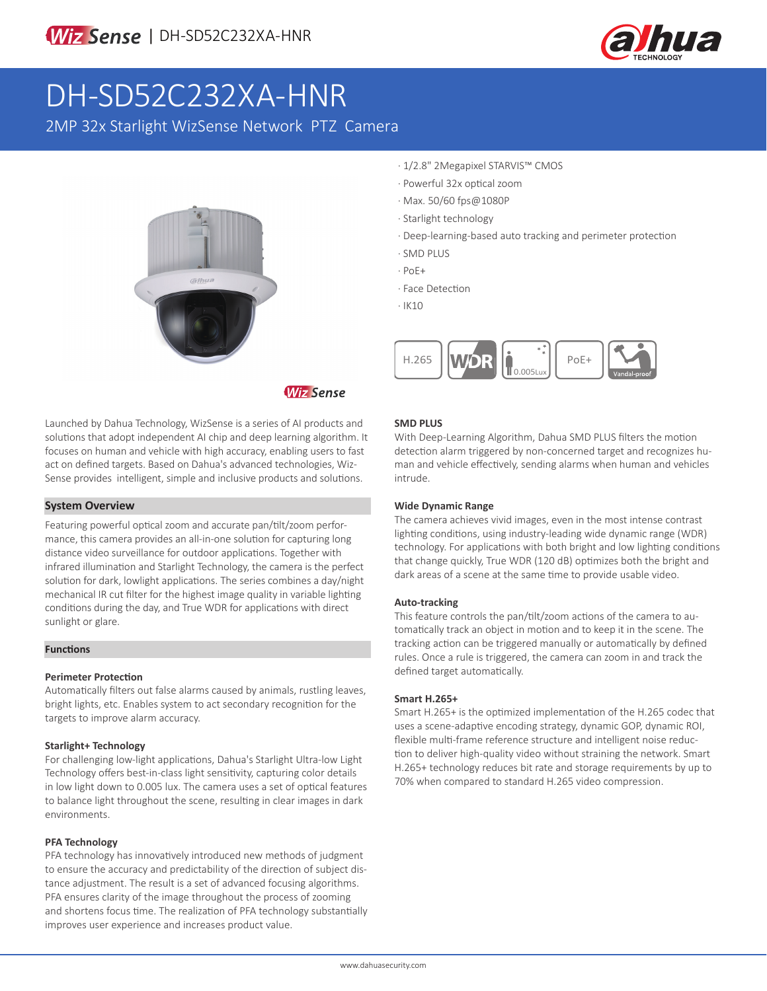

# DH-SD52C232XA-HNR

2MP 32x Starlight WizSense Network PTZ Camera



**Wiz Sense** 

Launched by Dahua Technology, WizSense is a series of AI products and solutions that adopt independent AI chip and deep learning algorithm. It focuses on human and vehicle with high accuracy, enabling users to fast act on defined targets. Based on Dahua's advanced technologies, Wiz-Sense provides intelligent, simple and inclusive products and solutions.

### **System Overview**

Featuring powerful optical zoom and accurate pan/tilt/zoom performance, this camera provides an all-in-one solution for capturing long distance video surveillance for outdoor applications. Together with infrared illumination and Starlight Technology, the camera is the perfect solution for dark, lowlight applications. The series combines a day/night mechanical IR cut filter for the highest image quality in variable lighting conditions during the day, and True WDR for applications with direct sunlight or glare.

#### **Functions**

### **Perimeter Protection**

Automatically filters out false alarms caused by animals, rustling leaves, bright lights, etc. Enables system to act secondary recognition for the targets to improve alarm accuracy.

### **Starlight+ Technology**

For challenging low-light applications, Dahua's Starlight Ultra-low Light Technology offers best-in-class light sensitivity, capturing color details in low light down to 0.005 lux. The camera uses a set of optical features to balance light throughout the scene, resulting in clear images in dark environments.

### **PFA Technology**

PFA technology has innovatively introduced new methods of judgment to ensure the accuracy and predictability of the direction of subject distance adjustment. The result is a set of advanced focusing algorithms. PFA ensures clarity of the image throughout the process of zooming and shortens focus time. The realization of PFA technology substantially improves user experience and increases product value.

- · 1/2.8" 2Megapixel STARVIS™ CMOS
- · Powerful 32x optical zoom
- · Max. 50/60 fps@1080P
- · Starlight technology
- · Deep-learning-based auto tracking and perimeter protection
- · SMD PLUS
- · PoE+
- · Face Detection
- · IK10



### **SMD PLUS**

With Deep-Learning Algorithm, Dahua SMD PLUS filters the motion detection alarm triggered by non-concerned target and recognizes human and vehicle effectively, sending alarms when human and vehicles intrude.

### **Wide Dynamic Range**

The camera achieves vivid images, even in the most intense contrast lighting conditions, using industry-leading wide dynamic range (WDR) technology. For applications with both bright and low lighting conditions that change quickly, True WDR (120 dB) optimizes both the bright and dark areas of a scene at the same time to provide usable video.

### **Auto-tracking**

This feature controls the pan/tilt/zoom actions of the camera to automatically track an object in motion and to keep it in the scene. The tracking action can be triggered manually or automatically by defined rules. Once a rule is triggered, the camera can zoom in and track the defined target automatically.

### **Smart H.265+**

Smart H.265+ is the optimized implementation of the H.265 codec that uses a scene-adaptive encoding strategy, dynamic GOP, dynamic ROI, flexible multi-frame reference structure and intelligent noise reduction to deliver high-quality video without straining the network. Smart H.265+ technology reduces bit rate and storage requirements by up to 70% when compared to standard H.265 video compression.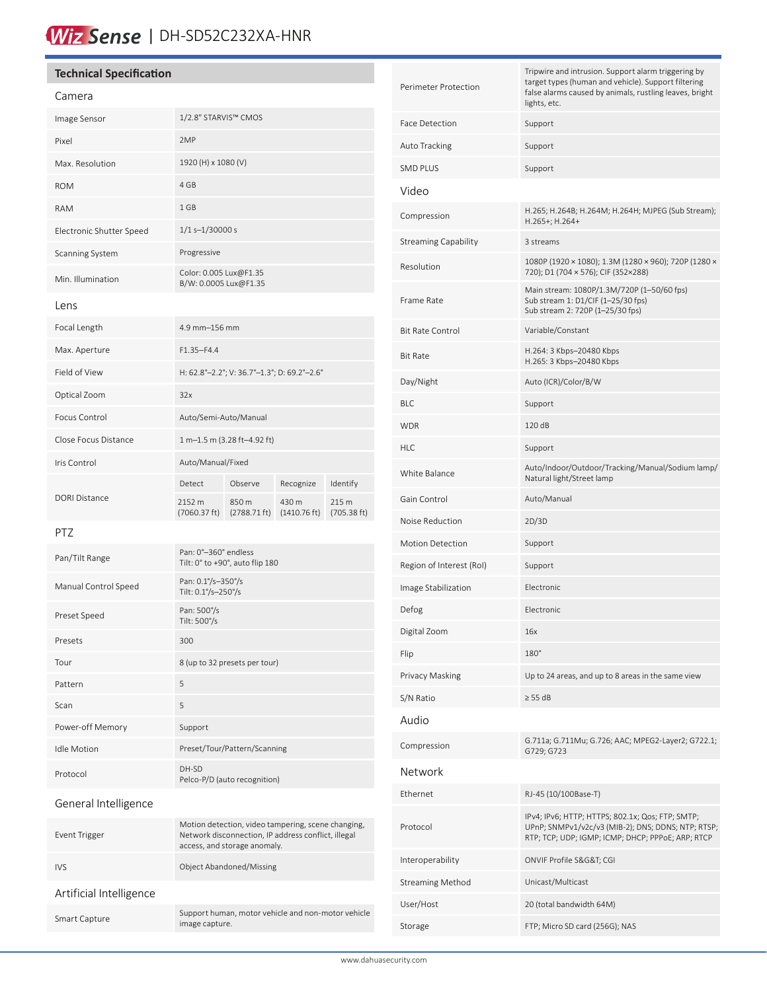# Wiz Sense | DH-SD52C232XA-HNR

# **Technical Specification**

# Camera

| Image Sensor             | 1/2.8" STARVIS™ CMOS                            |                                 |                                 |                      |
|--------------------------|-------------------------------------------------|---------------------------------|---------------------------------|----------------------|
| Pixel                    | 2MP                                             |                                 |                                 |                      |
| Max. Resolution          | 1920 (H) x 1080 (V)                             |                                 |                                 |                      |
| <b>ROM</b>               | 4 GB                                            |                                 |                                 |                      |
| <b>RAM</b>               | 1 GB                                            |                                 |                                 |                      |
| Electronic Shutter Speed | $1/1 s - 1/30000 s$                             |                                 |                                 |                      |
| Scanning System          | Progressive                                     |                                 |                                 |                      |
| Min. Illumination        | Color: 0.005 Lux@F1.35<br>B/W: 0.0005 Lux@F1.35 |                                 |                                 |                      |
| lens                     |                                                 |                                 |                                 |                      |
| Focal Length             | 4.9 mm-156 mm                                   |                                 |                                 |                      |
| Max. Aperture            | $F1.35 - F4.4$                                  |                                 |                                 |                      |
| Field of View            | H: 62.8°-2.2°; V: 36.7°-1.3°; D: 69.2°-2.6°     |                                 |                                 |                      |
| Optical Zoom             | 32x                                             |                                 |                                 |                      |
| Focus Control            | Auto/Semi-Auto/Manual                           |                                 |                                 |                      |
| Close Focus Distance     | 1 m-1.5 m (3.28 ft-4.92 ft)                     |                                 |                                 |                      |
| Iris Control             | Auto/Manual/Fixed                               |                                 |                                 |                      |
| <b>DORI Distance</b>     | Detect                                          | Observe                         | Recognize                       | Identify             |
|                          | 2152 m<br>(7060.37 ft)                          | 850 m<br>$(2788.71 \text{ ft})$ | 430 m<br>$(1410.76 \text{ ft})$ | 215 m<br>(705.38 ft) |
| ロエフ                      |                                                 |                                 |                                 |                      |

#### PTZ

| Pan/Tilt Range       | Pan: 0°-360° endless<br>Tilt: 0° to +90°, auto flip 180 |
|----------------------|---------------------------------------------------------|
| Manual Control Speed | Pan: 0.1%-350%<br>Tilt: 0.1°/s-250°/s                   |
| Preset Speed         | Pan: 500%<br>Tilt: 500%                                 |
| Presets              | 300                                                     |
| Tour                 | 8 (up to 32 presets per tour)                           |
| Pattern              | 5                                                       |
| Scan                 | 5                                                       |
| Power-off Memory     | Support                                                 |
| <b>Idle Motion</b>   | Preset/Tour/Pattern/Scanning                            |
| Protocol             | DH-SD<br>Pelco-P/D (auto recognition)                   |
|                      |                                                         |

# General Intelligence

| Event Trigger           | Motion detection, video tampering, scene changing,<br>Network disconnection, IP address conflict, illegal<br>access, and storage anomaly. |
|-------------------------|-------------------------------------------------------------------------------------------------------------------------------------------|
| IVS.                    | Object Abandoned/Missing                                                                                                                  |
| Artificial Intelligence |                                                                                                                                           |
| Smart Capture           | Support human, motor vehicle and non-motor vehicle<br>image capture.                                                                      |

| Perimeter Protection        | Tripwire and intrusion. Support alarm triggering by<br>target types (human and vehicle). Support filtering<br>false alarms caused by animals, rustling leaves, bright<br>lights, etc. |  |
|-----------------------------|---------------------------------------------------------------------------------------------------------------------------------------------------------------------------------------|--|
| Face Detection              | Support                                                                                                                                                                               |  |
| Auto Tracking               | Support                                                                                                                                                                               |  |
| <b>SMD PLUS</b>             | Support                                                                                                                                                                               |  |
| Video                       |                                                                                                                                                                                       |  |
| Compression                 | H.265; H.264B; H.264M; H.264H; MJPEG (Sub Stream);<br>H.265+; H.264+                                                                                                                  |  |
| <b>Streaming Capability</b> | 3 streams                                                                                                                                                                             |  |
| Resolution                  | 1080P (1920 × 1080); 1.3M (1280 × 960); 720P (1280 ×<br>720); D1 (704 × 576); CIF (352×288)                                                                                           |  |
| Frame Rate                  | Main stream: 1080P/1.3M/720P (1-50/60 fps)<br>Sub stream 1: D1/CIF (1-25/30 fps)<br>Sub stream 2: 720P (1-25/30 fps)                                                                  |  |
| <b>Bit Rate Control</b>     | Variable/Constant                                                                                                                                                                     |  |
| <b>Bit Rate</b>             | H.264: 3 Kbps-20480 Kbps<br>H.265: 3 Kbps-20480 Kbps                                                                                                                                  |  |
| Day/Night                   | Auto (ICR)/Color/B/W                                                                                                                                                                  |  |
| <b>BLC</b>                  | Support                                                                                                                                                                               |  |
| <b>WDR</b>                  | 120dB                                                                                                                                                                                 |  |
| <b>HLC</b>                  | Support                                                                                                                                                                               |  |
| White Balance               | Auto/Indoor/Outdoor/Tracking/Manual/Sodium lamp/<br>Natural light/Street lamp                                                                                                         |  |
| Gain Control                | Auto/Manual                                                                                                                                                                           |  |
| Noise Reduction             | 2D/3D                                                                                                                                                                                 |  |
| <b>Motion Detection</b>     | Support                                                                                                                                                                               |  |
| Region of Interest (RoI)    | Support                                                                                                                                                                               |  |
| Image Stabilization         | Electronic                                                                                                                                                                            |  |
| Defog                       | Electronic                                                                                                                                                                            |  |
| Digital Zoom                | 16x                                                                                                                                                                                   |  |
| Flip                        | $180^\circ$                                                                                                                                                                           |  |
| Privacy Masking             | Up to 24 areas, and up to 8 areas in the same view                                                                                                                                    |  |
| S/N Ratio                   | $\geq$ 55 dB                                                                                                                                                                          |  |
| Audio                       |                                                                                                                                                                                       |  |
| Compression                 | G.711a; G.711Mu; G.726; AAC; MPEG2-Layer2; G722.1;<br>G729; G723                                                                                                                      |  |
| Network                     |                                                                                                                                                                                       |  |
| Ethernet                    | RJ-45 (10/100Base-T)                                                                                                                                                                  |  |
| Protocol                    | IPv4; IPv6; HTTP; HTTPS; 802.1x; Qos; FTP; SMTP;<br>UPnP; SNMPv1/v2c/v3 (MIB-2); DNS; DDNS; NTP; RTSP;<br>RTP; TCP; UDP; IGMP; ICMP; DHCP; PPPoE; ARP; RTCP                           |  |
| Interoperability            | ONVIF Profile S&G&T CGI                                                                                                                                                               |  |
| <b>Streaming Method</b>     | Unicast/Multicast                                                                                                                                                                     |  |
| User/Host                   | 20 (total bandwidth 64M)                                                                                                                                                              |  |
| Storage                     | FTP; Micro SD card (256G); NAS                                                                                                                                                        |  |